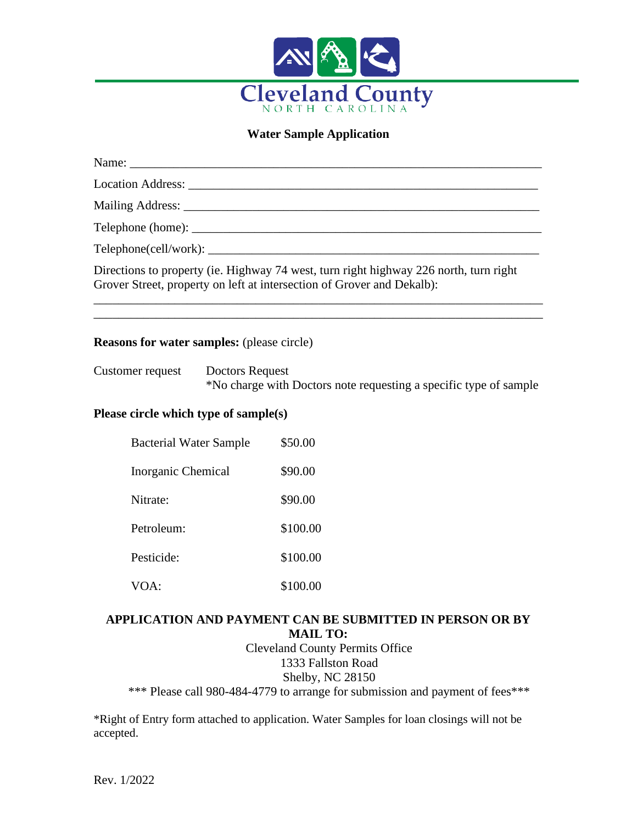

## **Water Sample Application**

| Directions to property (ie. Highway 74 west, turn right highway 226 north, turn right<br>Grover Street, property on left at intersection of Grover and Dekalb): |
|-----------------------------------------------------------------------------------------------------------------------------------------------------------------|

\_\_\_\_\_\_\_\_\_\_\_\_\_\_\_\_\_\_\_\_\_\_\_\_\_\_\_\_\_\_\_\_\_\_\_\_\_\_\_\_\_\_\_\_\_\_\_\_\_\_\_\_\_\_\_\_\_\_\_\_\_\_\_\_\_\_\_\_\_\_\_\_

## **Reasons for water samples:** (please circle)

Customer request Doctors Request \*No charge with Doctors note requesting a specific type of sample

## **Please circle which type of sample(s)**

| <b>Bacterial Water Sample</b> | \$50.00  |
|-------------------------------|----------|
| Inorganic Chemical            | \$90.00  |
| Nitrate:                      | \$90.00  |
| Petroleum:                    | \$100.00 |
| Pesticide:                    | \$100.00 |
| VOA:                          | \$100.00 |

## **APPLICATION AND PAYMENT CAN BE SUBMITTED IN PERSON OR BY MAIL TO:**

Cleveland County Permits Office 1333 Fallston Road Shelby, NC 28150 \*\*\* Please call 980-484-4779 to arrange for submission and payment of fees\*\*\*

\*Right of Entry form attached to application. Water Samples for loan closings will not be accepted.